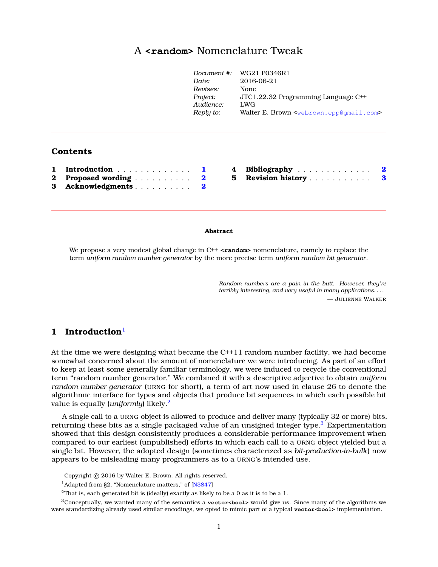## A **<random>** Nomenclature Twea[k](#page-0-0)

| Document #: | WG21 P0346R1                                                    |
|-------------|-----------------------------------------------------------------|
| Date:       | 2016-06-21                                                      |
| Revises:    | None                                                            |
| Project:    | JTC1.22.32 Programming Language C++                             |
| Audience:   | LWG                                                             |
| Reply to:   | Walter E. Brown <webrown.cpp@qmail.com></webrown.cpp@qmail.com> |
|             |                                                                 |

#### **Contents**

| 1 Introduction 1      |  |
|-----------------------|--|
| 2 Proposed wording  2 |  |
| 3 Acknowledgments 2   |  |

| 4 Bibliography     |  |  |  |  |  | 2 |
|--------------------|--|--|--|--|--|---|
| 5 Revision history |  |  |  |  |  | 3 |

#### **Abstract**

We propose a very modest global change in C<sup>++</sup> **<random>** nomenclature, namely to replace the term *uniform random number generator* by the more precise term *uniform random bit generator*.

> *Random numbers are a pain in the butt. However, they're terribly interesting, and very useful in many applications. . . .* — JULIENNE WALKER

### <span id="page-0-1"></span>**1 Introduction**[1](#page-0-2)

At the time we were designing what became the C++11 random number facility, we had become somewhat concerned about the amount of nomenclature we were introducing. As part of an effort to keep at least some generally familiar terminology, we were induced to recycle the conventional term "random number generator." We combined it with a descriptive adjective to obtain *uniform random number generator* (URNG for short), a term of art now used in clause 26 to denote the algorithmic interface for types and objects that produce bit sequences in which each possible bit value is equally (*uniformly*) likely.[2](#page-0-3)

A single call to a URNG object is allowed to produce and deliver many (typically 32 or more) bits, returning these bits as a single packaged value of an unsigned integer type.<sup>[3](#page-0-4)</sup> Experimentation showed that this design consistently produces a considerable performance improvement when compared to our earliest (unpublished) efforts in which each call to a URNG object yielded but a single bit. However, the adopted design (sometimes characterized as *bit-production-in-bulk*) now appears to be misleading many programmers as to a URNG's intended use.

<span id="page-0-0"></span>Copyright  $\odot$  2016 by Walter E. Brown. All rights reserved.

<span id="page-0-2"></span><sup>&</sup>lt;sup>1</sup>Adapted from §2, "Nomenclature matters," of [\[N3847\]](#page-1-3)

<span id="page-0-4"></span><span id="page-0-3"></span><sup>&</sup>lt;sup>2</sup>That is, each generated bit is (ideally) exactly as likely to be a 0 as it is to be a 1.

<sup>3</sup>Conceptually, we wanted many of the semantics a **vector<bool>** would give us. Since many of the algorithms we were standardizing already used similar encodings, we opted to mimic part of a typical **vector<bool>** implementation.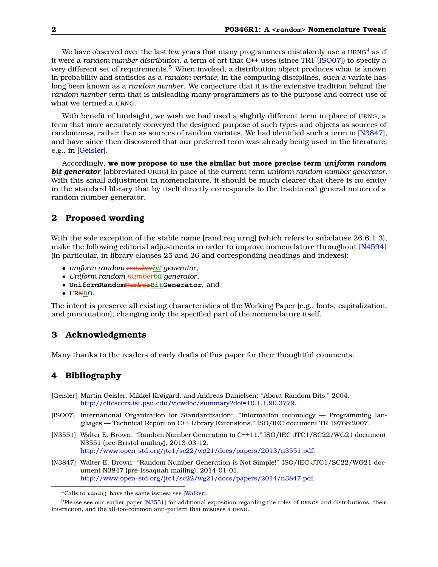We have observed over the last few years that many programmers mistakenly use a  $URNG<sup>4</sup>$  $URNG<sup>4</sup>$  $URNG<sup>4</sup>$  as if it were a *random number distribution*, a term of art that C++ uses (since TR1 [\[ISO07\]](#page-1-5)) to specify a very different set of requirements.<sup>[5](#page-1-6)</sup> When invoked, a distribution object produces what is known in probability and statistics as a *random variate*; in the computing disciplines, such a variate has long been known as a *random number*. We conjecture that it is the extensive tradition behind the *random number* term that is misleading many programmers as to the purpose and correct use of what we termed a URNG.

With benefit of hindsight, we wish we had used a slightly different term in place of URNG, a term that more accurately conveyed the designed purpose of such types and objects as sources of randomness, rather than as sources of random variates. We had identified such a term in [\[N3847\]](#page-1-3), and have since then discovered that our preferred term was already being used in the literature, e.g., in [\[Geisler\]](#page-1-7).

Accordingly, **we now propose to use the similar but more precise term** *uniform random bit generator* (abbreviated URBG) in place of the current term *uniform random number generator*. With this small adjustment in nomenclature, it should be much clearer that there is no entity in the standard library that by itself directly corresponds to the traditional general notion of a random number generator.

### <span id="page-1-0"></span>**2 Proposed wording**

With the sole exception of the stable name [rand.req.urng] (which refers to subclause 26.6.1.3), make the following editorial adjustments in order to improve nomenclature throughout [\[N4594\]](#page-2-1) (in particular, in library clauses 25 and 26 and corresponding headings and indexes):

- *uniform random numberbit generator*,
- *Uniform random numberbit generator*,
- **UniformRandomNumberBitGenerator**, and
- URNBG.

The intent is preserve all existing characteristics of the Working Paper (e.g., fonts, capitalization, and punctuation), changing only the specified part of the nomenclature itself.

### <span id="page-1-1"></span>**3 Acknowledgments**

<span id="page-1-2"></span>Many thanks to the readers of early drafts of this paper for their thoughtful comments.

#### **4 Bibliography**

- <span id="page-1-7"></span>[Geisler] Martin Geisler, Mikkel Krøigård, and Andreas Danielsen: "About Random Bits." 2004. [http://citeseerx.ist.psu.edu/viewdoc/summary?doi=10.1.1.90.3779.](http://citeseerx.ist.psu.edu/viewdoc/summary?doi=10.1.1.90.3779)
- <span id="page-1-5"></span>[ISO07] International Organization for Standardization: "Information technology — Programming languages — Technical Report on C++ Library Extensions." ISO/IEC document TR 19768:2007.
- <span id="page-1-8"></span>[N3551] Walter E. Brown: "Random Number Generation in C++11." ISO/IEC JTC1/SC22/WG21 document N3551 (pre-Bristol mailing), 2013-03-12. [http://www.open-std.org/jtc1/sc22/wg21/docs/papers/2013/n3551.pdf.](http://www.open-std.org/jtc1/sc22/wg21/docs/papers/2013/n3551.pdf)
- <span id="page-1-3"></span>[N3847] Walter E. Brown: "Random Number Generation is Not Simple!" ISO/IEC JTC1/SC22/WG21 document N3847 (pre-Issaquah mailing), 2014-01-01. [http://www.open-std.org/jtc1/sc22/wg21/docs/papers/2014/n3847.pdf.](http://www.open-std.org/jtc1/sc22/wg21/docs/papers/2014/n3847.pdf)

<span id="page-1-6"></span><span id="page-1-4"></span><sup>4</sup>Calls to **rand()** have the same issues; see [\[Walker\]](#page-2-2).

 $5P$ lease see our earlier paper [\[N3551\]](#page-1-8) for additional exposition regarding the roles of URNGs and distributions, their interaction, and the all-too-common anti-pattern that misuses a URNG.